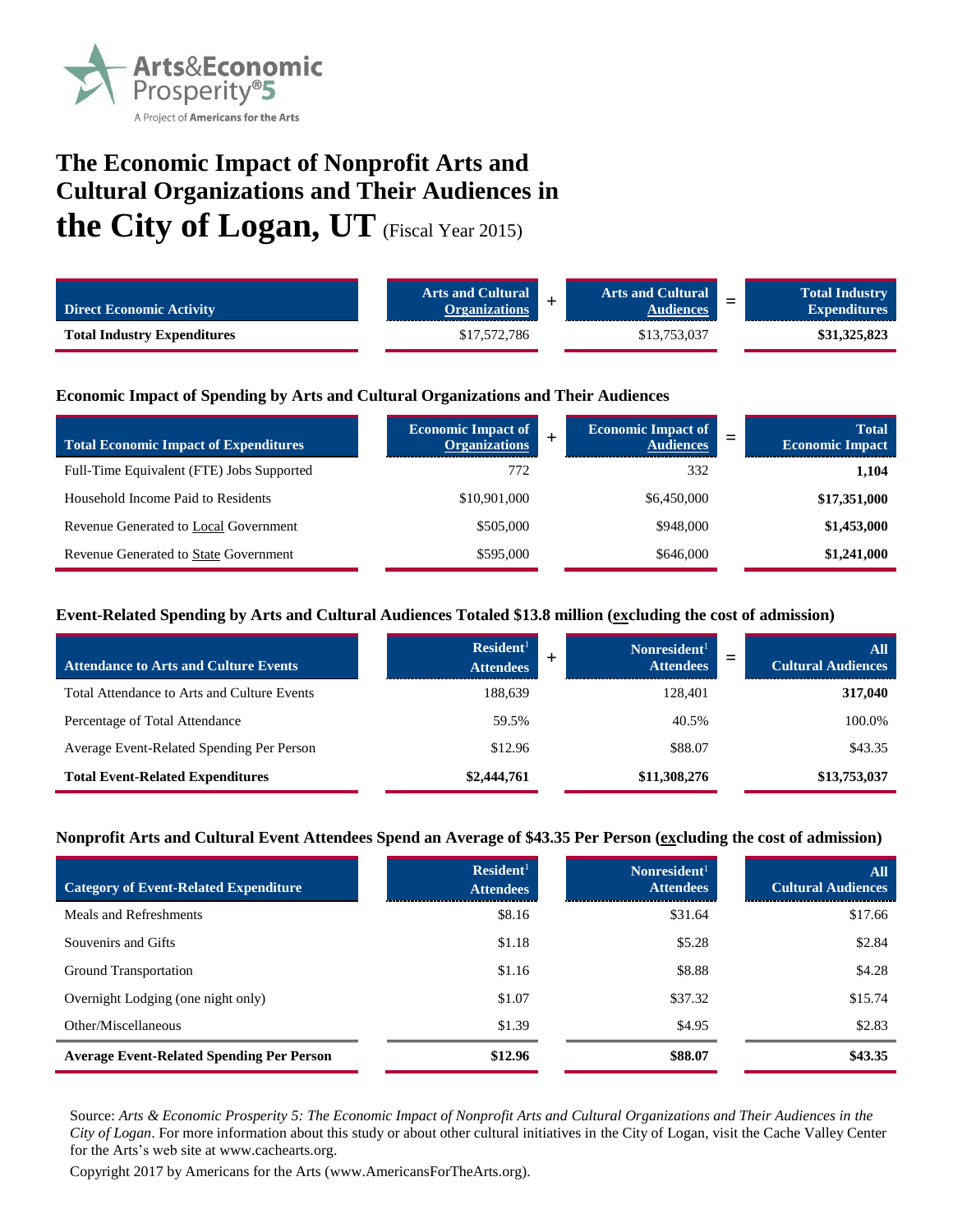

# **The Economic Impact of Nonprofit Arts and Cultural Organizations and Their Audiences in the City of Logan, UT** (Fiscal Year 2015)

| <b>Direct Economic Activity</b>    | <b>Arts and Cultural</b><br><b>Organizations</b> | <b>Arts and Cultural</b><br><b>Audiences</b> | <b>Total Industry</b><br>$\overline{\phantom{0}}$<br><b>Expenditures</b> |
|------------------------------------|--------------------------------------------------|----------------------------------------------|--------------------------------------------------------------------------|
| <b>Total Industry Expenditures</b> | \$17,572,786                                     | \$13.753.037                                 | \$31,325,823                                                             |

## **Economic Impact of Spending by Arts and Cultural Organizations and Their Audiences**

| <b>Total Economic Impact of Expenditures</b> | <b>Economic Impact of</b><br><b>Organizations</b> | <b>Economic Impact of</b><br><b>Audiences</b> | <b>Total</b><br>_<br><b>Economic Impact</b> |
|----------------------------------------------|---------------------------------------------------|-----------------------------------------------|---------------------------------------------|
| Full-Time Equivalent (FTE) Jobs Supported    | 772                                               | 332                                           | 1,104                                       |
| Household Income Paid to Residents           | \$10,901,000                                      | \$6,450,000                                   | \$17,351,000                                |
| Revenue Generated to Local Government        | \$505,000                                         | \$948,000                                     | \$1,453,000                                 |
| Revenue Generated to State Government        | \$595,000                                         | \$646,000                                     | \$1,241,000                                 |

## **Event-Related Spending by Arts and Cultural Audiences Totaled \$13.8 million (excluding the cost of admission)**

| <b>Attendance to Arts and Culture Events</b> | Resident <sup>1</sup><br><b>Attendees</b> | Nonresident <sup>1</sup><br><b>Attendees</b> | <b>All</b><br><b>Cultural Audiences</b> |
|----------------------------------------------|-------------------------------------------|----------------------------------------------|-----------------------------------------|
| Total Attendance to Arts and Culture Events  | 188,639                                   | 128.401                                      | 317,040                                 |
| Percentage of Total Attendance               | 59.5%                                     | 40.5%                                        | 100.0%                                  |
| Average Event-Related Spending Per Person    | \$12.96                                   | \$88.07                                      | \$43.35                                 |
| <b>Total Event-Related Expenditures</b>      | \$2,444,761                               | \$11,308,276                                 | \$13,753,037                            |

#### **Nonprofit Arts and Cultural Event Attendees Spend an Average of \$43.35 Per Person (excluding the cost of admission)**

| <b>Category of Event-Related Expenditure</b>     | Resident <sup>1</sup><br><b>Attendees</b> | Nonresident <sup>1</sup><br><b>Attendees</b> | All<br><b>Cultural Audiences</b> |
|--------------------------------------------------|-------------------------------------------|----------------------------------------------|----------------------------------|
| Meals and Refreshments                           | \$8.16                                    | \$31.64                                      | \$17.66                          |
| Souvenirs and Gifts                              | \$1.18                                    | \$5.28                                       | \$2.84                           |
| Ground Transportation                            | \$1.16                                    | \$8.88                                       | \$4.28                           |
| Overnight Lodging (one night only)               | \$1.07                                    | \$37.32                                      | \$15.74                          |
| Other/Miscellaneous                              | \$1.39                                    | \$4.95                                       | \$2.83                           |
| <b>Average Event-Related Spending Per Person</b> | \$12.96                                   | \$88.07                                      | \$43.35                          |

Source: *Arts & Economic Prosperity 5: The Economic Impact of Nonprofit Arts and Cultural Organizations and Their Audiences in the City of Logan*. For more information about this study or about other cultural initiatives in the City of Logan, visit the Cache Valley Center for the Arts's web site at www.cachearts.org.

Copyright 2017 by Americans for the Arts (www.AmericansForTheArts.org).